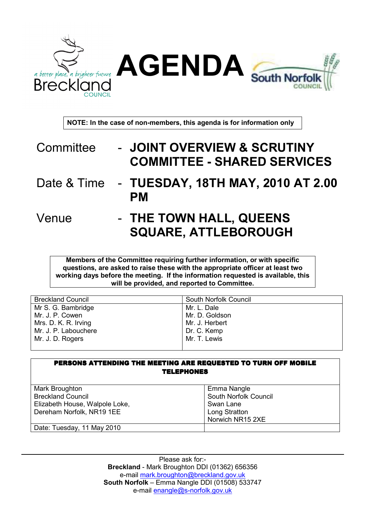

NOTE: In the case of non-members, this agenda is for information only

- Committee JOINT OVERVIEW & SCRUTINY COMMITTEE - SHARED SERVICES
- Date & Time TUESDAY, 18TH MAY, 2010 AT 2.00 PM
- Venue THE TOWN HALL, QUEENS SQUARE, ATTLEBOROUGH

Members of the Committee requiring further information, or with specific questions, are asked to raise these with the appropriate officer at least two working days before the meeting. If the information requested is available, this will be provided, and reported to Committee.

| <b>Breckland Council</b> | South Norfolk Council |
|--------------------------|-----------------------|
| Mr S. G. Bambridge       | Mr. L. Dale           |
| Mr. J. P. Cowen          | Mr. D. Goldson        |
| Mrs. D. K. R. Irving     | Mr. J. Herbert        |
| Mr. J. P. Labouchere     | Dr. C. Kemp           |
| Mr. J. D. Rogers         | Mr. T. Lewis          |
|                          |                       |

| PERSONS ATTENDING THE MEETING ARE REQUESTED TO TURN OFF MOBILE<br><b>TELEPHONES</b> |                       |  |
|-------------------------------------------------------------------------------------|-----------------------|--|
| Mark Broughton                                                                      | Emma Nangle           |  |
| <b>Breckland Council</b>                                                            | South Norfolk Council |  |
| Elizabeth House, Walpole Loke,                                                      | Swan Lane             |  |
| Dereham Norfolk, NR19 1EE                                                           | Long Stratton         |  |
|                                                                                     | Norwich NR15 2XE      |  |
| Date: Tuesday, 11 May 2010                                                          |                       |  |